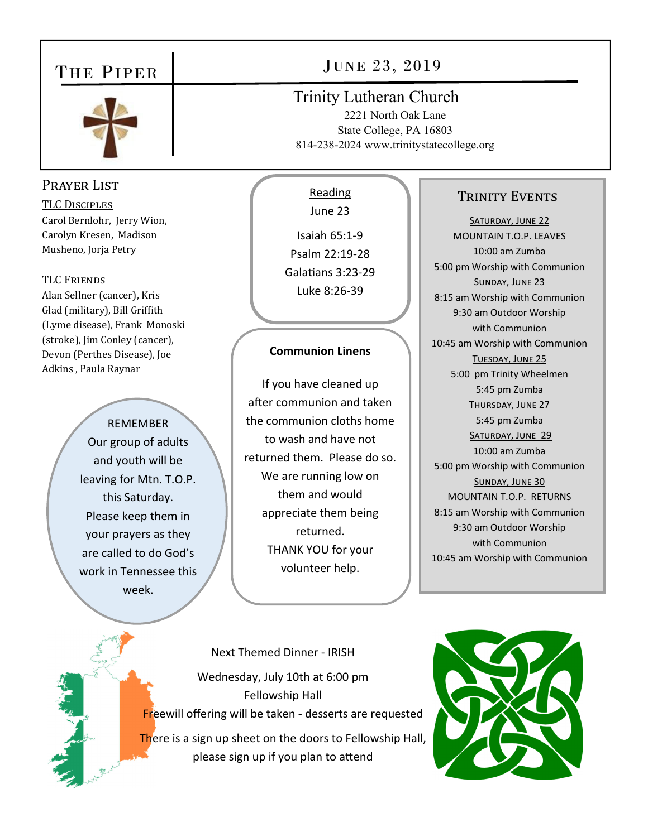## THE PIPER



## Prayer List

TLC DISCIPLES Carol Bernlohr, Jerry Wion, Carolyn Kresen, Madison Musheno, Jorja Petry

#### TLC FRIENDS

Alan Sellner (cancer), Kris Glad (military), Bill Griffith (Lyme disease), Frank Monoski (stroke), Jim Conley (cancer), Devon (Perthes Disease), Joe Adkins , Paula Raynar

> REMEMBER Our group of adults and youth will be leaving for Mtn. T.O.P. this Saturday. Please keep them in your prayers as they are called to do God's work in Tennessee this week.

# JUNE 23, 2019

## Trinity Lutheran Church

2221 North Oak Lane State College, PA 16803 814-238-2024 www.trinitystatecollege.org

## Reading

June 23 Isaiah 65:1‐9 Psalm 22:19‐28 Galatians 3:23-29 Luke 8:26‐39

### **Communion Linens**

If you have cleaned up after communion and taken the communion cloths home to wash and have not returned them. Please do so. We are running low on them and would appreciate them being returned. THANK YOU for your volunteer help.

### TRINITY EVENTS

SATURDAY, JUNE 22 MOUNTAIN T.O.P. LEAVES 10:00 am Zumba 5:00 pm Worship with Communion SUNDAY, JUNE 23 8:15 am Worship with Communion 9:30 am Outdoor Worship with Communion 10:45 am Worship with Communion TUESDAY, JUNE 25 5:00 pm Trinity Wheelmen 5:45 pm Zumba THURSDAY, JUNE 27 5:45 pm Zumba SATURDAY, JUNE 29 10:00 am Zumba 5:00 pm Worship with Communion SUNDAY, JUNE 30 MOUNTAIN T.O.P. RETURNS 8:15 am Worship with Communion 9:30 am Outdoor Worship with Communion 10:45 am Worship with Communion

Next Themed Dinner ‐ IRISH Wednesday, July 10th at 6:00 pm Fellowship Hall Freewill offering will be taken ‐ desserts are requested There is a sign up sheet on the doors to Fellowship Hall, please sign up if you plan to attend